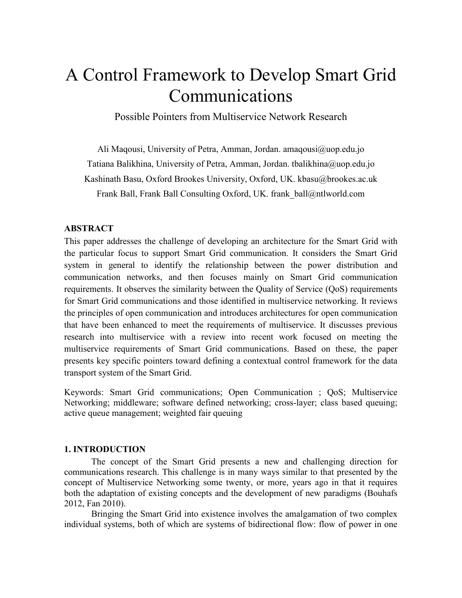# A Control Framework to Develop Smart Grid Communications

Possible Pointers from Multiservice Network Research

Ali Maqousi, University of Petra, Amman, Jordan. amaqousi@uop.edu.jo Tatiana Balikhina, University of Petra, Amman, Jordan. tbalikhina@uop.edu.jo Kashinath Basu, Oxford Brookes University, Oxford, UK. kbasu@brookes.ac.uk Frank Ball, Frank Ball Consulting Oxford, UK. frank\_ball@ntlworld.com

## **ABSTRACT**

This paper addresses the challenge of developing an architecture for the Smart Grid with the particular focus to support Smart Grid communication. It considers the Smart Grid system in general to identify the relationship between the power distribution and communication networks, and then focuses mainly on Smart Grid communication requirements. It observes the similarity between the Quality of Service (QoS) requirements for Smart Grid communications and those identified in multiservice networking. It reviews the principles of open communication and introduces architectures for open communication that have been enhanced to meet the requirements of multiservice. It discusses previous research into multiservice with a review into recent work focused on meeting the multiservice requirements of Smart Grid communications. Based on these, the paper presents key specific pointers toward defining a contextual control framework for the data transport system of the Smart Grid.

Keywords: Smart Grid communications; Open Communication ; QoS; Multiservice Networking; middleware; software defined networking; cross-layer; class based queuing; active queue management; weighted fair queuing

# **1. INTRODUCTION**

The concept of the Smart Grid presents a new and challenging direction for communications research. This challenge is in many ways similar to that presented by the concept of Multiservice Networking some twenty, or more, years ago in that it requires both the adaptation of existing concepts and the development of new paradigms (Bouhafs 2012, Fan 2010).

Bringing the Smart Grid into existence involves the amalgamation of two complex individual systems, both of which are systems of bidirectional flow: flow of power in one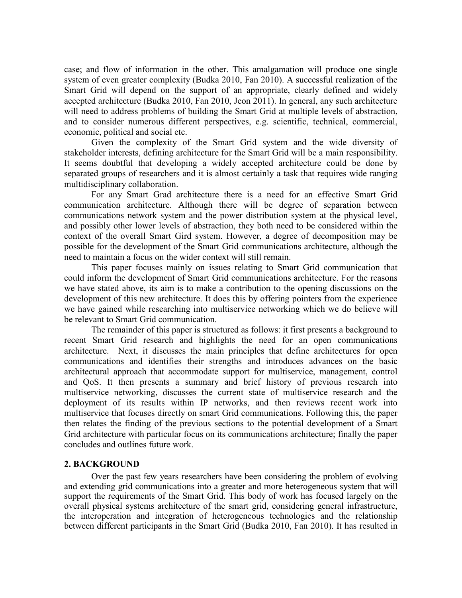case; and flow of information in the other. This amalgamation will produce one single system of even greater complexity (Budka 2010, Fan 2010). A successful realization of the Smart Grid will depend on the support of an appropriate, clearly defined and widely accepted architecture (Budka 2010, Fan 2010, Jeon 2011). In general, any such architecture will need to address problems of building the Smart Grid at multiple levels of abstraction, and to consider numerous different perspectives, e.g. scientific, technical, commercial, economic, political and social etc.

Given the complexity of the Smart Grid system and the wide diversity of stakeholder interests, defining architecture for the Smart Grid will be a main responsibility. It seems doubtful that developing a widely accepted architecture could be done by separated groups of researchers and it is almost certainly a task that requires wide ranging multidisciplinary collaboration.

For any Smart Grad architecture there is a need for an effective Smart Grid communication architecture. Although there will be degree of separation between communications network system and the power distribution system at the physical level, and possibly other lower levels of abstraction, they both need to be considered within the context of the overall Smart Gird system. However, a degree of decomposition may be possible for the development of the Smart Grid communications architecture, although the need to maintain a focus on the wider context will still remain.

This paper focuses mainly on issues relating to Smart Grid communication that could inform the development of Smart Grid communications architecture. For the reasons we have stated above, its aim is to make a contribution to the opening discussions on the development of this new architecture. It does this by offering pointers from the experience we have gained while researching into multiservice networking which we do believe will be relevant to Smart Grid communication.

The remainder of this paper is structured as follows: it first presents a background to recent Smart Grid research and highlights the need for an open communications architecture. Next, it discusses the main principles that define architectures for open communications and identifies their strengths and introduces advances on the basic architectural approach that accommodate support for multiservice, management, control and QoS. It then presents a summary and brief history of previous research into multiservice networking, discusses the current state of multiservice research and the deployment of its results within IP networks, and then reviews recent work into multiservice that focuses directly on smart Grid communications. Following this, the paper then relates the finding of the previous sections to the potential development of a Smart Grid architecture with particular focus on its communications architecture; finally the paper concludes and outlines future work.

## **2. BACKGROUND**

 Over the past few years researchers have been considering the problem of evolving and extending grid communications into a greater and more heterogeneous system that will support the requirements of the Smart Grid. This body of work has focused largely on the overall physical systems architecture of the smart grid, considering general infrastructure, the interoperation and integration of heterogeneous technologies and the relationship between different participants in the Smart Grid (Budka 2010, Fan 2010). It has resulted in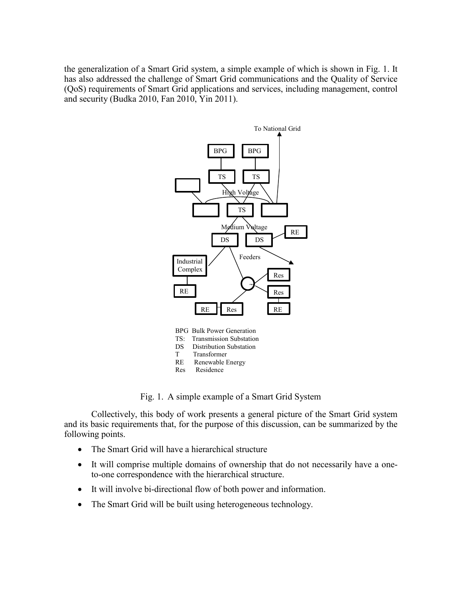the generalization of a Smart Grid system, a simple example of which is shown in Fig. 1. It has also addressed the challenge of Smart Grid communications and the Quality of Service (QoS) requirements of Smart Grid applications and services, including management, control and security (Budka 2010, Fan 2010, Yin 2011).



Fig. 1. A simple example of a Smart Grid System

 Collectively, this body of work presents a general picture of the Smart Grid system and its basic requirements that, for the purpose of this discussion, can be summarized by the following points.

- The Smart Grid will have a hierarchical structure
- It will comprise multiple domains of ownership that do not necessarily have a oneto-one correspondence with the hierarchical structure.
- It will involve bi-directional flow of both power and information.
- The Smart Grid will be built using heterogeneous technology.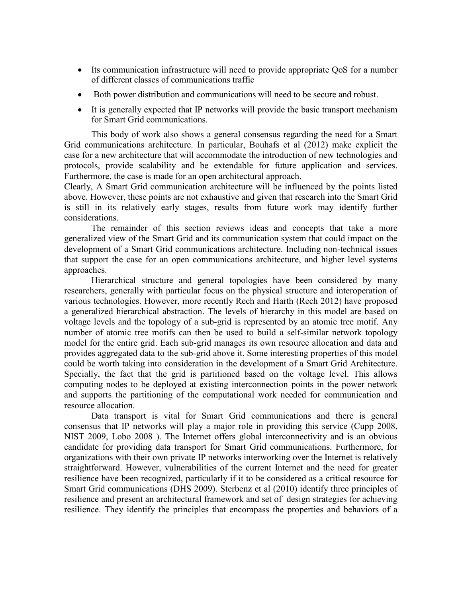- Its communication infrastructure will need to provide appropriate OoS for a number of different classes of communications traffic
- Both power distribution and communications will need to be secure and robust.
- It is generally expected that IP networks will provide the basic transport mechanism for Smart Grid communications.

This body of work also shows a general consensus regarding the need for a Smart Grid communications architecture. In particular, Bouhafs et al (2012) make explicit the case for a new architecture that will accommodate the introduction of new technologies and protocols, provide scalability and be extendable for future application and services. Furthermore, the case is made for an open architectural approach.

Clearly, A Smart Grid communication architecture will be influenced by the points listed above. However, these points are not exhaustive and given that research into the Smart Grid is still in its relatively early stages, results from future work may identify further considerations.

The remainder of this section reviews ideas and concepts that take a more generalized view of the Smart Grid and its communication system that could impact on the development of a Smart Grid communications architecture. Including non-technical issues that support the case for an open communications architecture, and higher level systems approaches.

Hierarchical structure and general topologies have been considered by many researchers, generally with particular focus on the physical structure and interoperation of various technologies. However, more recently Rech and Harth (Rech 2012) have proposed a generalized hierarchical abstraction. The levels of hierarchy in this model are based on voltage levels and the topology of a sub-grid is represented by an atomic tree motif. Any number of atomic tree motifs can then be used to build a self-similar network topology model for the entire grid. Each sub-grid manages its own resource allocation and data and provides aggregated data to the sub-grid above it. Some interesting properties of this model could be worth taking into consideration in the development of a Smart Grid Architecture. Specially, the fact that the grid is partitioned based on the voltage level. This allows computing nodes to be deployed at existing interconnection points in the power network and supports the partitioning of the computational work needed for communication and resource allocation.

Data transport is vital for Smart Grid communications and there is general consensus that IP networks will play a major role in providing this service (Cupp 2008, NIST 2009, Lobo 2008 ). The Internet offers global interconnectivity and is an obvious candidate for providing data transport for Smart Grid communications. Furthermore, for organizations with their own private IP networks interworking over the Internet is relatively straightforward. However, vulnerabilities of the current Internet and the need for greater resilience have been recognized, particularly if it to be considered as a critical resource for Smart Grid communications (DHS 2009). Sterbenz et al (2010) identify three principles of resilience and present an architectural framework and set of design strategies for achieving resilience. They identify the principles that encompass the properties and behaviors of a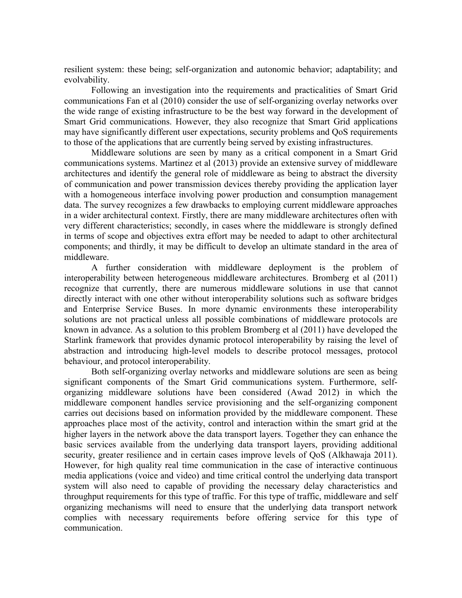resilient system: these being; self-organization and autonomic behavior; adaptability; and evolvability.

Following an investigation into the requirements and practicalities of Smart Grid communications Fan et al (2010) consider the use of self-organizing overlay networks over the wide range of existing infrastructure to be the best way forward in the development of Smart Grid communications. However, they also recognize that Smart Grid applications may have significantly different user expectations, security problems and QoS requirements to those of the applications that are currently being served by existing infrastructures.

Middleware solutions are seen by many as a critical component in a Smart Grid communications systems. Martinez et al (2013) provide an extensive survey of middleware architectures and identify the general role of middleware as being to abstract the diversity of communication and power transmission devices thereby providing the application layer with a homogeneous interface involving power production and consumption management data. The survey recognizes a few drawbacks to employing current middleware approaches in a wider architectural context. Firstly, there are many middleware architectures often with very different characteristics; secondly, in cases where the middleware is strongly defined in terms of scope and objectives extra effort may be needed to adapt to other architectural components; and thirdly, it may be difficult to develop an ultimate standard in the area of middleware.

A further consideration with middleware deployment is the problem of interoperability between heterogeneous middleware architectures. Bromberg et al (2011) recognize that currently, there are numerous middleware solutions in use that cannot directly interact with one other without interoperability solutions such as software bridges and Enterprise Service Buses. In more dynamic environments these interoperability solutions are not practical unless all possible combinations of middleware protocols are known in advance. As a solution to this problem Bromberg et al (2011) have developed the Starlink framework that provides dynamic protocol interoperability by raising the level of abstraction and introducing high-level models to describe protocol messages, protocol behaviour, and protocol interoperability.

Both self-organizing overlay networks and middleware solutions are seen as being significant components of the Smart Grid communications system. Furthermore, selforganizing middleware solutions have been considered (Awad 2012) in which the middleware component handles service provisioning and the self-organizing component carries out decisions based on information provided by the middleware component. These approaches place most of the activity, control and interaction within the smart grid at the higher layers in the network above the data transport layers. Together they can enhance the basic services available from the underlying data transport layers, providing additional security, greater resilience and in certain cases improve levels of QoS (Alkhawaja 2011). However, for high quality real time communication in the case of interactive continuous media applications (voice and video) and time critical control the underlying data transport system will also need to capable of providing the necessary delay characteristics and throughput requirements for this type of traffic. For this type of traffic, middleware and self organizing mechanisms will need to ensure that the underlying data transport network complies with necessary requirements before offering service for this type of communication.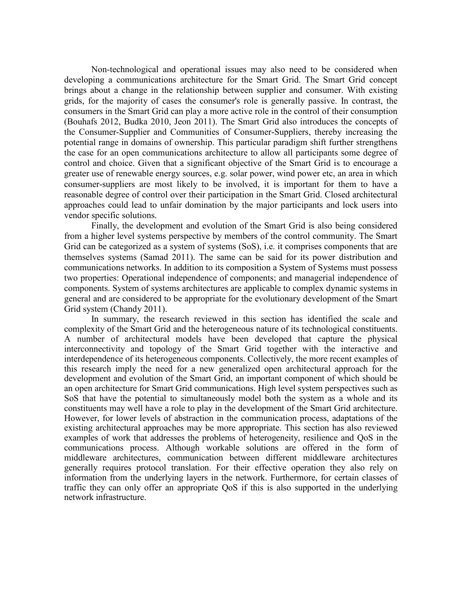Non-technological and operational issues may also need to be considered when developing a communications architecture for the Smart Grid. The Smart Grid concept brings about a change in the relationship between supplier and consumer. With existing grids, for the majority of cases the consumer's role is generally passive. In contrast, the consumers in the Smart Grid can play a more active role in the control of their consumption (Bouhafs 2012, Budka 2010, Jeon 2011). The Smart Grid also introduces the concepts of the Consumer-Supplier and Communities of Consumer-Suppliers, thereby increasing the potential range in domains of ownership. This particular paradigm shift further strengthens the case for an open communications architecture to allow all participants some degree of control and choice. Given that a significant objective of the Smart Grid is to encourage a greater use of renewable energy sources, e.g. solar power, wind power etc, an area in which consumer-suppliers are most likely to be involved, it is important for them to have a reasonable degree of control over their participation in the Smart Grid. Closed architectural approaches could lead to unfair domination by the major participants and lock users into vendor specific solutions.

Finally, the development and evolution of the Smart Grid is also being considered from a higher level systems perspective by members of the control community. The Smart Grid can be categorized as a system of systems (SoS), i.e. it comprises components that are themselves systems (Samad 2011). The same can be said for its power distribution and communications networks. In addition to its composition a System of Systems must possess two properties: Operational independence of components; and managerial independence of components. System of systems architectures are applicable to complex dynamic systems in general and are considered to be appropriate for the evolutionary development of the Smart Grid system (Chandy 2011).

 In summary, the research reviewed in this section has identified the scale and complexity of the Smart Grid and the heterogeneous nature of its technological constituents. A number of architectural models have been developed that capture the physical interconnectivity and topology of the Smart Grid together with the interactive and interdependence of its heterogeneous components. Collectively, the more recent examples of this research imply the need for a new generalized open architectural approach for the development and evolution of the Smart Grid, an important component of which should be an open architecture for Smart Grid communications. High level system perspectives such as SoS that have the potential to simultaneously model both the system as a whole and its constituents may well have a role to play in the development of the Smart Grid architecture. However, for lower levels of abstraction in the communication process, adaptations of the existing architectural approaches may be more appropriate. This section has also reviewed examples of work that addresses the problems of heterogeneity, resilience and QoS in the communications process. Although workable solutions are offered in the form of middleware architectures, communication between different middleware architectures generally requires protocol translation. For their effective operation they also rely on information from the underlying layers in the network. Furthermore, for certain classes of traffic they can only offer an appropriate QoS if this is also supported in the underlying network infrastructure.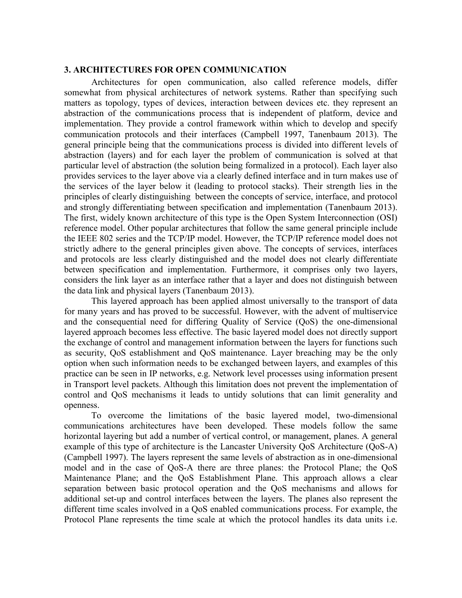#### **3. ARCHITECTURES FOR OPEN COMMUNICATION**

Architectures for open communication, also called reference models, differ somewhat from physical architectures of network systems. Rather than specifying such matters as topology, types of devices, interaction between devices etc. they represent an abstraction of the communications process that is independent of platform, device and implementation. They provide a control framework within which to develop and specify communication protocols and their interfaces (Campbell 1997, Tanenbaum 2013). The general principle being that the communications process is divided into different levels of abstraction (layers) and for each layer the problem of communication is solved at that particular level of abstraction (the solution being formalized in a protocol). Each layer also provides services to the layer above via a clearly defined interface and in turn makes use of the services of the layer below it (leading to protocol stacks). Their strength lies in the principles of clearly distinguishing between the concepts of service, interface, and protocol and strongly differentiating between specification and implementation (Tanenbaum 2013). The first, widely known architecture of this type is the Open System Interconnection (OSI) reference model. Other popular architectures that follow the same general principle include the IEEE 802 series and the TCP/IP model. However, the TCP/IP reference model does not strictly adhere to the general principles given above. The concepts of services, interfaces and protocols are less clearly distinguished and the model does not clearly differentiate between specification and implementation. Furthermore, it comprises only two layers, considers the link layer as an interface rather that a layer and does not distinguish between the data link and physical layers (Tanenbaum 2013).

This layered approach has been applied almost universally to the transport of data for many years and has proved to be successful. However, with the advent of multiservice and the consequential need for differing Quality of Service (QoS) the one-dimensional layered approach becomes less effective. The basic layered model does not directly support the exchange of control and management information between the layers for functions such as security, QoS establishment and QoS maintenance. Layer breaching may be the only option when such information needs to be exchanged between layers, and examples of this practice can be seen in IP networks, e.g. Network level processes using information present in Transport level packets. Although this limitation does not prevent the implementation of control and QoS mechanisms it leads to untidy solutions that can limit generality and openness.

To overcome the limitations of the basic layered model, two-dimensional communications architectures have been developed. These models follow the same horizontal layering but add a number of vertical control, or management, planes. A general example of this type of architecture is the Lancaster University QoS Architecture (QoS-A) (Campbell 1997). The layers represent the same levels of abstraction as in one-dimensional model and in the case of QoS-A there are three planes: the Protocol Plane; the QoS Maintenance Plane; and the QoS Establishment Plane. This approach allows a clear separation between basic protocol operation and the QoS mechanisms and allows for additional set-up and control interfaces between the layers. The planes also represent the different time scales involved in a QoS enabled communications process. For example, the Protocol Plane represents the time scale at which the protocol handles its data units i.e.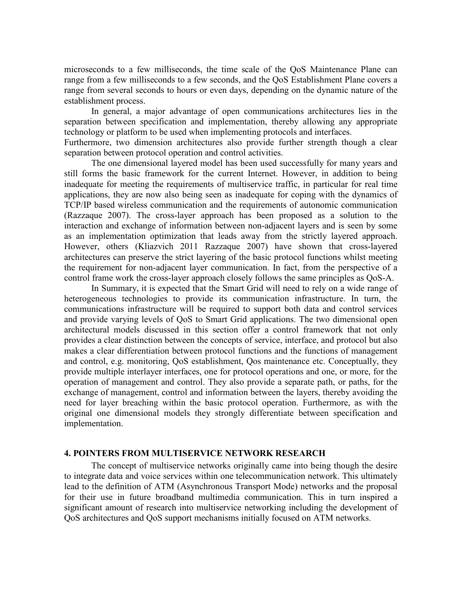microseconds to a few milliseconds, the time scale of the QoS Maintenance Plane can range from a few milliseconds to a few seconds, and the QoS Establishment Plane covers a range from several seconds to hours or even days, depending on the dynamic nature of the establishment process.

In general, a major advantage of open communications architectures lies in the separation between specification and implementation, thereby allowing any appropriate technology or platform to be used when implementing protocols and interfaces.

Furthermore, two dimension architectures also provide further strength though a clear separation between protocol operation and control activities.

The one dimensional layered model has been used successfully for many years and still forms the basic framework for the current Internet. However, in addition to being inadequate for meeting the requirements of multiservice traffic, in particular for real time applications, they are now also being seen as inadequate for coping with the dynamics of TCP/IP based wireless communication and the requirements of autonomic communication (Razzaque 2007). The cross-layer approach has been proposed as a solution to the interaction and exchange of information between non-adjacent layers and is seen by some as an implementation optimization that leads away from the strictly layered approach. However, others (Kliazvich 2011 Razzaque 2007) have shown that cross-layered architectures can preserve the strict layering of the basic protocol functions whilst meeting the requirement for non-adjacent layer communication. In fact, from the perspective of a control frame work the cross-layer approach closely follows the same principles as QoS-A.

In Summary, it is expected that the Smart Grid will need to rely on a wide range of heterogeneous technologies to provide its communication infrastructure. In turn, the communications infrastructure will be required to support both data and control services and provide varying levels of QoS to Smart Grid applications. The two dimensional open architectural models discussed in this section offer a control framework that not only provides a clear distinction between the concepts of service, interface, and protocol but also makes a clear differentiation between protocol functions and the functions of management and control, e.g. monitoring, QoS establishment, Qos maintenance etc. Conceptually, they provide multiple interlayer interfaces, one for protocol operations and one, or more, for the operation of management and control. They also provide a separate path, or paths, for the exchange of management, control and information between the layers, thereby avoiding the need for layer breaching within the basic protocol operation. Furthermore, as with the original one dimensional models they strongly differentiate between specification and implementation.

## **4. POINTERS FROM MULTISERVICE NETWORK RESEARCH**

The concept of multiservice networks originally came into being though the desire to integrate data and voice services within one telecommunication network. This ultimately lead to the definition of ATM (Asynchronous Transport Mode) networks and the proposal for their use in future broadband multimedia communication. This in turn inspired a significant amount of research into multiservice networking including the development of QoS architectures and QoS support mechanisms initially focused on ATM networks.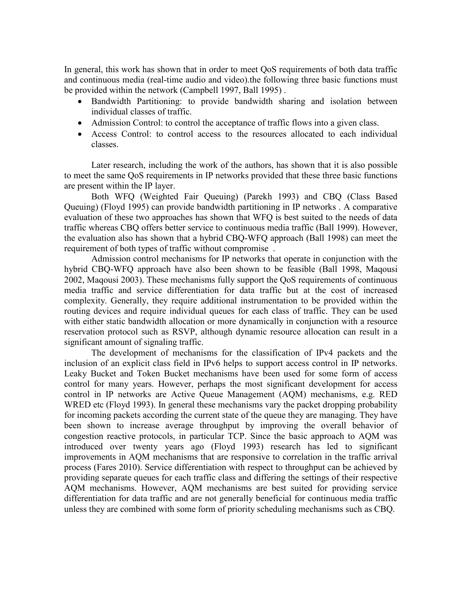In general, this work has shown that in order to meet QoS requirements of both data traffic and continuous media (real-time audio and video).the following three basic functions must be provided within the network (Campbell 1997, Ball 1995) .

- Bandwidth Partitioning: to provide bandwidth sharing and isolation between individual classes of traffic.
- Admission Control: to control the acceptance of traffic flows into a given class.
- Access Control: to control access to the resources allocated to each individual classes.

Later research, including the work of the authors, has shown that it is also possible to meet the same QoS requirements in IP networks provided that these three basic functions are present within the IP layer.

Both WFQ (Weighted Fair Queuing) (Parekh 1993) and CBQ (Class Based Queuing) (Floyd 1995) can provide bandwidth partitioning in IP networks . A comparative evaluation of these two approaches has shown that WFQ is best suited to the needs of data traffic whereas CBQ offers better service to continuous media traffic (Ball 1999). However, the evaluation also has shown that a hybrid CBQ-WFQ approach (Ball 1998) can meet the requirement of both types of traffic without compromise .

Admission control mechanisms for IP networks that operate in conjunction with the hybrid CBQ-WFQ approach have also been shown to be feasible (Ball 1998, Maqousi 2002, Maqousi 2003). These mechanisms fully support the QoS requirements of continuous media traffic and service differentiation for data traffic but at the cost of increased complexity. Generally, they require additional instrumentation to be provided within the routing devices and require individual queues for each class of traffic. They can be used with either static bandwidth allocation or more dynamically in conjunction with a resource reservation protocol such as RSVP, although dynamic resource allocation can result in a significant amount of signaling traffic.

The development of mechanisms for the classification of IPv4 packets and the inclusion of an explicit class field in IPv6 helps to support access control in IP networks. Leaky Bucket and Token Bucket mechanisms have been used for some form of access control for many years. However, perhaps the most significant development for access control in IP networks are Active Queue Management (AQM) mechanisms, e.g. RED WRED etc (Floyd 1993). In general these mechanisms vary the packet dropping probability for incoming packets according the current state of the queue they are managing. They have been shown to increase average throughput by improving the overall behavior of congestion reactive protocols, in particular TCP. Since the basic approach to AQM was introduced over twenty years ago (Floyd 1993) research has led to significant improvements in AQM mechanisms that are responsive to correlation in the traffic arrival process (Fares 2010). Service differentiation with respect to throughput can be achieved by providing separate queues for each traffic class and differing the settings of their respective AQM mechanisms. However, AQM mechanisms are best suited for providing service differentiation for data traffic and are not generally beneficial for continuous media traffic unless they are combined with some form of priority scheduling mechanisms such as CBQ.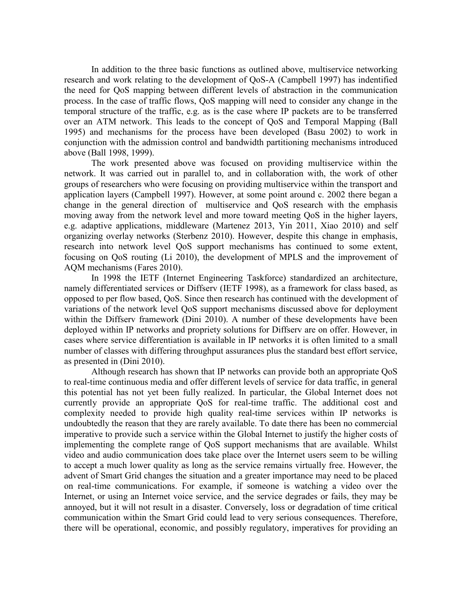In addition to the three basic functions as outlined above, multiservice networking research and work relating to the development of QoS-A (Campbell 1997) has indentified the need for QoS mapping between different levels of abstraction in the communication process. In the case of traffic flows, QoS mapping will need to consider any change in the temporal structure of the traffic, e.g. as is the case where IP packets are to be transferred over an ATM network. This leads to the concept of QoS and Temporal Mapping (Ball 1995) and mechanisms for the process have been developed (Basu 2002) to work in conjunction with the admission control and bandwidth partitioning mechanisms introduced above (Ball 1998, 1999).

The work presented above was focused on providing multiservice within the network. It was carried out in parallel to, and in collaboration with, the work of other groups of researchers who were focusing on providing multiservice within the transport and application layers (Campbell 1997). However, at some point around c. 2002 there began a change in the general direction of multiservice and QoS research with the emphasis moving away from the network level and more toward meeting QoS in the higher layers, e.g. adaptive applications, middleware (Martenez 2013, Yin 2011, Xiao 2010) and self organizing overlay networks (Sterbenz 2010). However, despite this change in emphasis, research into network level QoS support mechanisms has continued to some extent, focusing on QoS routing (Li 2010), the development of MPLS and the improvement of AQM mechanisms (Fares 2010).

In 1998 the IETF (Internet Engineering Taskforce) standardized an architecture, namely differentiated services or Diffserv (IETF 1998), as a framework for class based, as opposed to per flow based, QoS. Since then research has continued with the development of variations of the network level QoS support mechanisms discussed above for deployment within the Diffserv framework (Dini 2010). A number of these developments have been deployed within IP networks and propriety solutions for Diffserv are on offer. However, in cases where service differentiation is available in IP networks it is often limited to a small number of classes with differing throughput assurances plus the standard best effort service, as presented in (Dini 2010).

Although research has shown that IP networks can provide both an appropriate QoS to real-time continuous media and offer different levels of service for data traffic, in general this potential has not yet been fully realized. In particular, the Global Internet does not currently provide an appropriate QoS for real-time traffic. The additional cost and complexity needed to provide high quality real-time services within IP networks is undoubtedly the reason that they are rarely available. To date there has been no commercial imperative to provide such a service within the Global Internet to justify the higher costs of implementing the complete range of QoS support mechanisms that are available. Whilst video and audio communication does take place over the Internet users seem to be willing to accept a much lower quality as long as the service remains virtually free. However, the advent of Smart Grid changes the situation and a greater importance may need to be placed on real-time communications. For example, if someone is watching a video over the Internet, or using an Internet voice service, and the service degrades or fails, they may be annoyed, but it will not result in a disaster. Conversely, loss or degradation of time critical communication within the Smart Grid could lead to very serious consequences. Therefore, there will be operational, economic, and possibly regulatory, imperatives for providing an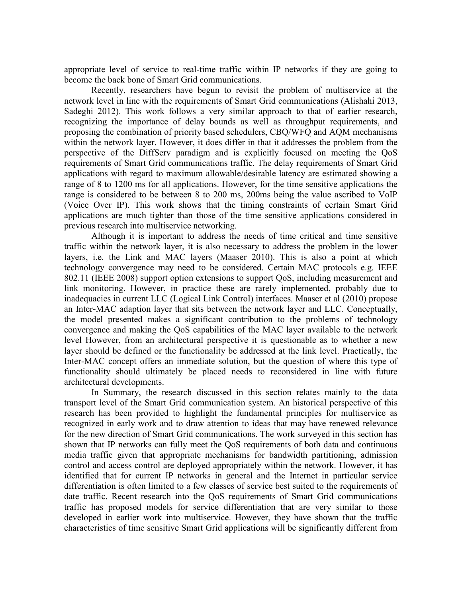appropriate level of service to real-time traffic within IP networks if they are going to become the back bone of Smart Grid communications.

Recently, researchers have begun to revisit the problem of multiservice at the network level in line with the requirements of Smart Grid communications (Alishahi 2013, Sadeghi 2012). This work follows a very similar approach to that of earlier research, recognizing the importance of delay bounds as well as throughput requirements, and proposing the combination of priority based schedulers, CBQ/WFQ and AQM mechanisms within the network layer. However, it does differ in that it addresses the problem from the perspective of the DiffServ paradigm and is explicitly focused on meeting the QoS requirements of Smart Grid communications traffic. The delay requirements of Smart Grid applications with regard to maximum allowable/desirable latency are estimated showing a range of 8 to 1200 ms for all applications. However, for the time sensitive applications the range is considered to be between 8 to 200 ms, 200ms being the value ascribed to VoIP (Voice Over IP). This work shows that the timing constraints of certain Smart Grid applications are much tighter than those of the time sensitive applications considered in previous research into multiservice networking.

Although it is important to address the needs of time critical and time sensitive traffic within the network layer, it is also necessary to address the problem in the lower layers, i.e. the Link and MAC layers (Maaser 2010). This is also a point at which technology convergence may need to be considered. Certain MAC protocols e.g. IEEE 802.11 (IEEE 2008) support option extensions to support QoS, including measurement and link monitoring. However, in practice these are rarely implemented, probably due to inadequacies in current LLC (Logical Link Control) interfaces. Maaser et al (2010) propose an Inter-MAC adaption layer that sits between the network layer and LLC. Conceptually, the model presented makes a significant contribution to the problems of technology convergence and making the QoS capabilities of the MAC layer available to the network level However, from an architectural perspective it is questionable as to whether a new layer should be defined or the functionality be addressed at the link level. Practically, the Inter-MAC concept offers an immediate solution, but the question of where this type of functionality should ultimately be placed needs to reconsidered in line with future architectural developments.

In Summary, the research discussed in this section relates mainly to the data transport level of the Smart Grid communication system. An historical perspective of this research has been provided to highlight the fundamental principles for multiservice as recognized in early work and to draw attention to ideas that may have renewed relevance for the new direction of Smart Grid communications. The work surveyed in this section has shown that IP networks can fully meet the QoS requirements of both data and continuous media traffic given that appropriate mechanisms for bandwidth partitioning, admission control and access control are deployed appropriately within the network. However, it has identified that for current IP networks in general and the Internet in particular service differentiation is often limited to a few classes of service best suited to the requirements of date traffic. Recent research into the QoS requirements of Smart Grid communications traffic has proposed models for service differentiation that are very similar to those developed in earlier work into multiservice. However, they have shown that the traffic characteristics of time sensitive Smart Grid applications will be significantly different from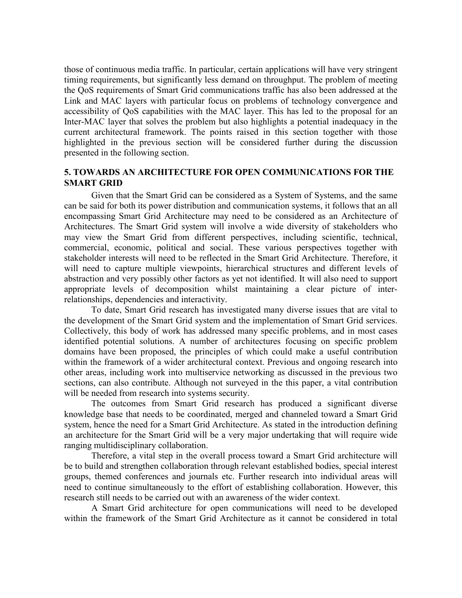those of continuous media traffic. In particular, certain applications will have very stringent timing requirements, but significantly less demand on throughput. The problem of meeting the QoS requirements of Smart Grid communications traffic has also been addressed at the Link and MAC layers with particular focus on problems of technology convergence and accessibility of QoS capabilities with the MAC layer. This has led to the proposal for an Inter-MAC layer that solves the problem but also highlights a potential inadequacy in the current architectural framework. The points raised in this section together with those highlighted in the previous section will be considered further during the discussion presented in the following section.

# **5. TOWARDS AN ARCHITECTURE FOR OPEN COMMUNICATIONS FOR THE SMART GRID**

Given that the Smart Grid can be considered as a System of Systems, and the same can be said for both its power distribution and communication systems, it follows that an all encompassing Smart Grid Architecture may need to be considered as an Architecture of Architectures. The Smart Grid system will involve a wide diversity of stakeholders who may view the Smart Grid from different perspectives, including scientific, technical, commercial, economic, political and social. These various perspectives together with stakeholder interests will need to be reflected in the Smart Grid Architecture. Therefore, it will need to capture multiple viewpoints, hierarchical structures and different levels of abstraction and very possibly other factors as yet not identified. It will also need to support appropriate levels of decomposition whilst maintaining a clear picture of interrelationships, dependencies and interactivity.

To date, Smart Grid research has investigated many diverse issues that are vital to the development of the Smart Grid system and the implementation of Smart Grid services. Collectively, this body of work has addressed many specific problems, and in most cases identified potential solutions. A number of architectures focusing on specific problem domains have been proposed, the principles of which could make a useful contribution within the framework of a wider architectural context. Previous and ongoing research into other areas, including work into multiservice networking as discussed in the previous two sections, can also contribute. Although not surveyed in the this paper, a vital contribution will be needed from research into systems security.

The outcomes from Smart Grid research has produced a significant diverse knowledge base that needs to be coordinated, merged and channeled toward a Smart Grid system, hence the need for a Smart Grid Architecture. As stated in the introduction defining an architecture for the Smart Grid will be a very major undertaking that will require wide ranging multidisciplinary collaboration.

Therefore, a vital step in the overall process toward a Smart Grid architecture will be to build and strengthen collaboration through relevant established bodies, special interest groups, themed conferences and journals etc. Further research into individual areas will need to continue simultaneously to the effort of establishing collaboration. However, this research still needs to be carried out with an awareness of the wider context.

A Smart Grid architecture for open communications will need to be developed within the framework of the Smart Grid Architecture as it cannot be considered in total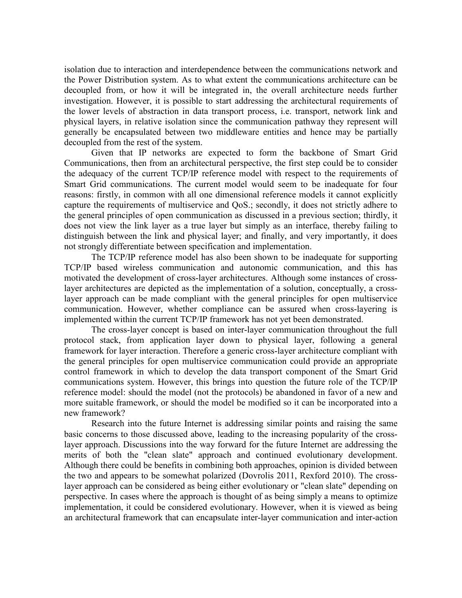isolation due to interaction and interdependence between the communications network and the Power Distribution system. As to what extent the communications architecture can be decoupled from, or how it will be integrated in, the overall architecture needs further investigation. However, it is possible to start addressing the architectural requirements of the lower levels of abstraction in data transport process, i.e. transport, network link and physical layers, in relative isolation since the communication pathway they represent will generally be encapsulated between two middleware entities and hence may be partially decoupled from the rest of the system.

Given that IP networks are expected to form the backbone of Smart Grid Communications, then from an architectural perspective, the first step could be to consider the adequacy of the current TCP/IP reference model with respect to the requirements of Smart Grid communications. The current model would seem to be inadequate for four reasons: firstly, in common with all one dimensional reference models it cannot explicitly capture the requirements of multiservice and QoS.; secondly, it does not strictly adhere to the general principles of open communication as discussed in a previous section; thirdly, it does not view the link layer as a true layer but simply as an interface, thereby failing to distinguish between the link and physical layer; and finally, and very importantly, it does not strongly differentiate between specification and implementation.

The TCP/IP reference model has also been shown to be inadequate for supporting TCP/IP based wireless communication and autonomic communication, and this has motivated the development of cross-layer architectures. Although some instances of crosslayer architectures are depicted as the implementation of a solution, conceptually, a crosslayer approach can be made compliant with the general principles for open multiservice communication. However, whether compliance can be assured when cross-layering is implemented within the current TCP/IP framework has not yet been demonstrated.

The cross-layer concept is based on inter-layer communication throughout the full protocol stack, from application layer down to physical layer, following a general framework for layer interaction. Therefore a generic cross-layer architecture compliant with the general principles for open multiservice communication could provide an appropriate control framework in which to develop the data transport component of the Smart Grid communications system. However, this brings into question the future role of the TCP/IP reference model: should the model (not the protocols) be abandoned in favor of a new and more suitable framework, or should the model be modified so it can be incorporated into a new framework?

Research into the future Internet is addressing similar points and raising the same basic concerns to those discussed above, leading to the increasing popularity of the crosslayer approach. Discussions into the way forward for the future Internet are addressing the merits of both the "clean slate" approach and continued evolutionary development. Although there could be benefits in combining both approaches, opinion is divided between the two and appears to be somewhat polarized (Dovrolis 2011, Rexford 2010). The crosslayer approach can be considered as being either evolutionary or "clean slate" depending on perspective. In cases where the approach is thought of as being simply a means to optimize implementation, it could be considered evolutionary. However, when it is viewed as being an architectural framework that can encapsulate inter-layer communication and inter-action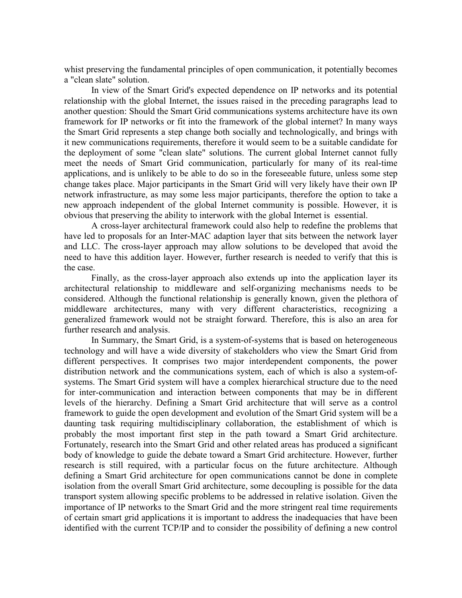whist preserving the fundamental principles of open communication, it potentially becomes a "clean slate" solution.

In view of the Smart Grid's expected dependence on IP networks and its potential relationship with the global Internet, the issues raised in the preceding paragraphs lead to another question: Should the Smart Grid communications systems architecture have its own framework for IP networks or fit into the framework of the global internet? In many ways the Smart Grid represents a step change both socially and technologically, and brings with it new communications requirements, therefore it would seem to be a suitable candidate for the deployment of some "clean slate" solutions. The current global Internet cannot fully meet the needs of Smart Grid communication, particularly for many of its real-time applications, and is unlikely to be able to do so in the foreseeable future, unless some step change takes place. Major participants in the Smart Grid will very likely have their own IP network infrastructure, as may some less major participants, therefore the option to take a new approach independent of the global Internet community is possible. However, it is obvious that preserving the ability to interwork with the global Internet is essential.

A cross-layer architectural framework could also help to redefine the problems that have led to proposals for an Inter-MAC adaption layer that sits between the network layer and LLC. The cross-layer approach may allow solutions to be developed that avoid the need to have this addition layer. However, further research is needed to verify that this is the case.

Finally, as the cross-layer approach also extends up into the application layer its architectural relationship to middleware and self-organizing mechanisms needs to be considered. Although the functional relationship is generally known, given the plethora of middleware architectures, many with very different characteristics, recognizing a generalized framework would not be straight forward. Therefore, this is also an area for further research and analysis.

In Summary, the Smart Grid, is a system-of-systems that is based on heterogeneous technology and will have a wide diversity of stakeholders who view the Smart Grid from different perspectives. It comprises two major interdependent components, the power distribution network and the communications system, each of which is also a system-ofsystems. The Smart Grid system will have a complex hierarchical structure due to the need for inter-communication and interaction between components that may be in different levels of the hierarchy. Defining a Smart Grid architecture that will serve as a control framework to guide the open development and evolution of the Smart Grid system will be a daunting task requiring multidisciplinary collaboration, the establishment of which is probably the most important first step in the path toward a Smart Grid architecture. Fortunately, research into the Smart Grid and other related areas has produced a significant body of knowledge to guide the debate toward a Smart Grid architecture. However, further research is still required, with a particular focus on the future architecture. Although defining a Smart Grid architecture for open communications cannot be done in complete isolation from the overall Smart Grid architecture, some decoupling is possible for the data transport system allowing specific problems to be addressed in relative isolation. Given the importance of IP networks to the Smart Grid and the more stringent real time requirements of certain smart grid applications it is important to address the inadequacies that have been identified with the current TCP/IP and to consider the possibility of defining a new control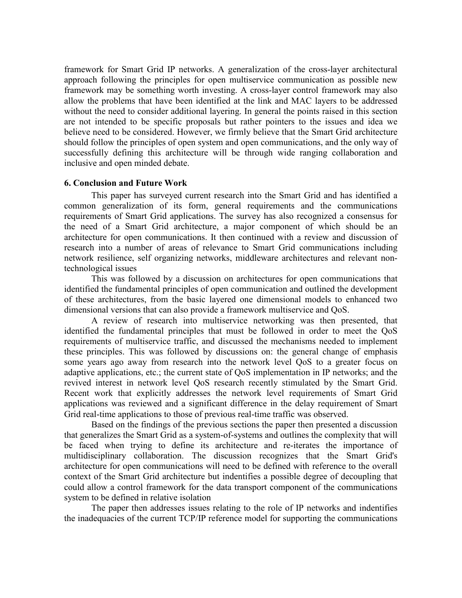framework for Smart Grid IP networks. A generalization of the cross-layer architectural approach following the principles for open multiservice communication as possible new framework may be something worth investing. A cross-layer control framework may also allow the problems that have been identified at the link and MAC layers to be addressed without the need to consider additional layering. In general the points raised in this section are not intended to be specific proposals but rather pointers to the issues and idea we believe need to be considered. However, we firmly believe that the Smart Grid architecture should follow the principles of open system and open communications, and the only way of successfully defining this architecture will be through wide ranging collaboration and inclusive and open minded debate.

## **6. Conclusion and Future Work**

This paper has surveyed current research into the Smart Grid and has identified a common generalization of its form, general requirements and the communications requirements of Smart Grid applications. The survey has also recognized a consensus for the need of a Smart Grid architecture, a major component of which should be an architecture for open communications. It then continued with a review and discussion of research into a number of areas of relevance to Smart Grid communications including network resilience, self organizing networks, middleware architectures and relevant nontechnological issues

This was followed by a discussion on architectures for open communications that identified the fundamental principles of open communication and outlined the development of these architectures, from the basic layered one dimensional models to enhanced two dimensional versions that can also provide a framework multiservice and QoS.

A review of research into multiservice networking was then presented, that identified the fundamental principles that must be followed in order to meet the QoS requirements of multiservice traffic, and discussed the mechanisms needed to implement these principles. This was followed by discussions on: the general change of emphasis some years ago away from research into the network level QoS to a greater focus on adaptive applications, etc.; the current state of QoS implementation in IP networks; and the revived interest in network level QoS research recently stimulated by the Smart Grid. Recent work that explicitly addresses the network level requirements of Smart Grid applications was reviewed and a significant difference in the delay requirement of Smart Grid real-time applications to those of previous real-time traffic was observed.

Based on the findings of the previous sections the paper then presented a discussion that generalizes the Smart Grid as a system-of-systems and outlines the complexity that will be faced when trying to define its architecture and re-iterates the importance of multidisciplinary collaboration. The discussion recognizes that the Smart Grid's architecture for open communications will need to be defined with reference to the overall context of the Smart Grid architecture but indentifies a possible degree of decoupling that could allow a control framework for the data transport component of the communications system to be defined in relative isolation

The paper then addresses issues relating to the role of IP networks and indentifies the inadequacies of the current TCP/IP reference model for supporting the communications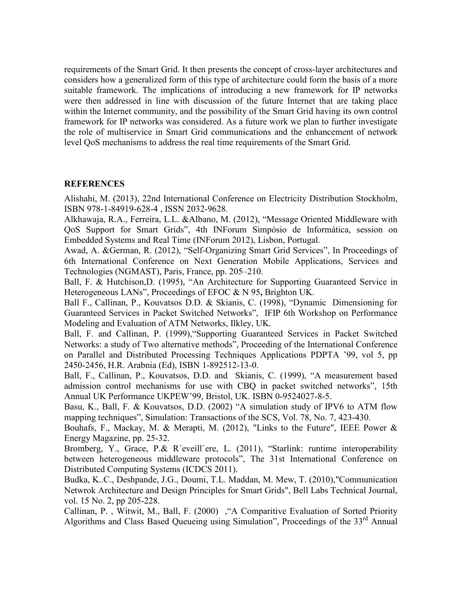requirements of the Smart Grid. It then presents the concept of cross-layer architectures and considers how a generalized form of this type of architecture could form the basis of a more suitable framework. The implications of introducing a new framework for IP networks were then addressed in line with discussion of the future Internet that are taking place within the Internet community, and the possibility of the Smart Grid having its own control framework for IP networks was considered. As a future work we plan to further investigate the role of multiservice in Smart Grid communications and the enhancement of network level QoS mechanisms to address the real time requirements of the Smart Grid.

## **REFERENCES**

Alishahi, M. (2013), 22nd International Conference on Electricity Distribution Stockholm, ISBN 978-1-84919-628-4 , ISSN 2032-9628.

Alkhawaja, R.A., Ferreira, L.L. &Albano, M. (2012), "Message Oriented Middleware with QoS Support for Smart Grids", 4th INForum Simpósio de Informática, session on Embedded Systems and Real Time (INForum 2012), Lisbon, Portugal.

Awad, A. &German, R. (2012), "Self-Organizing Smart Grid Services", In Proceedings of 6th International Conference on Next Generation Mobile Applications, Services and Technologies (NGMAST), Paris, France, pp. 205–210.

Ball, F. & Hutchison,D. (1995), "An Architecture for Supporting Guaranteed Service in Heterogeneous LANs", Proceedings of EFOC & N 95**,** Brighton UK.

Ball F., Callinan, P., Kouvatsos D.D. & Skianis, C. (1998), "Dynamic Dimensioning for Guaranteed Services in Packet Switched Networks", IFIP 6th Workshop on Performance Modeling and Evaluation of ATM Networks, Ilkley, UK.

Ball, F. and Callinan, P. (1999),"Supporting Guaranteed Services in Packet Switched Networks: a study of Two alternative methods", Proceeding of the International Conference on Parallel and Distributed Processing Techniques Applications PDPTA '99, vol 5, pp 2450-2456, H.R. Arabnia (Ed), ISBN 1-892512-13-0.

Ball, F., Callinan, P., Kouvatsos, D.D. and Skianis, C. (1999), "A measurement based admission control mechanisms for use with CBQ in packet switched networks", 15th Annual UK Performance UKPEW'99, Bristol, UK. ISBN 0-9524027-8-5.

Basu, K., Ball, F. & Kouvatsos, D.D. (2002) "A simulation study of IPV6 to ATM flow mapping techniques", Simulation: Transactions of the SCS, Vol. 78, No. 7, 423-430.

Bouhafs, F., Mackay, M. & Merapti, M. (2012), "Links to the Future", IEEE Power & Energy Magazine, pp. 25-32.

Bromberg, Y., Grace, P.& R'eveill'ere, L. (2011), "Starlink: runtime interoperability between heterogeneous middleware protocols", The 31st International Conference on Distributed Computing Systems (ICDCS 2011).

Budka, K..C., Deshpande, J.G., Doumi, T.L. Maddan, M. Mew, T. (2010),"Communication Netwrok Architecture and Design Principles for Smart Grids", Bell Labs Technical Journal, vol. 15 No. 2, pp 205-228.

Callinan, P. , Witwit, M., Ball, F. (2000) ,"A Comparitive Evaluation of Sorted Priority Algorithms and Class Based Queueing using Simulation", Proceedings of the 33<sup>rd</sup> Annual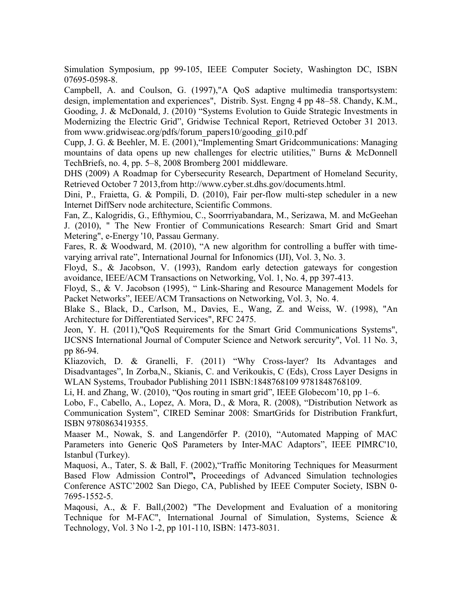Simulation Symposium, pp 99-105, IEEE Computer Society, Washington DC, ISBN 07695-0598-8.

Campbell, A. and Coulson, G. (1997),"A QoS adaptive multimedia transportsystem: design, implementation and experiences", Distrib. Syst. Engng 4 pp 48–58. Chandy, K.M., Gooding, J. & McDonald, J. (2010) "Systems Evolution to Guide Strategic Investments in Modernizing the Electric Grid", Gridwise Technical Report, Retrieved October 31 2013. from www.gridwiseac.org/pdfs/forum\_papers10/gooding\_gi10.pdf

Cupp, J. G. & Beehler, M. E. (2001),"Implementing Smart Gridcommunications: Managing mountains of data opens up new challenges for electric utilities," Burns & McDonnell TechBriefs, no. 4, pp. 5–8, 2008 Bromberg 2001 middleware.

DHS (2009) A Roadmap for Cybersecurity Research, Department of Homeland Security, Retrieved October 7 2013,from http://www.cyber.st.dhs.gov/documents.html.

Dini, P., Fraietta, G. & Pompili, D. (2010), Fair per-flow multi-step scheduler in a new Internet DiffServ node architecture, Scientific Commons.

Fan, Z., Kalogridis, G., Efthymiou, C., Soorrriyabandara, M., Serizawa, M. and McGeehan J. (2010), " The New Frontier of Communications Research: Smart Grid and Smart Metering", e-Energy '10, Passau Germany.

Fares, R. & Woodward, M. (2010), "A new algorithm for controlling a buffer with timevarying arrival rate", International Journal for Infonomics (IJI), Vol. 3, No. 3.

Floyd, S., & Jacobson, V. (1993), Random early detection gateways for congestion avoidance, IEEE/ACM Transactions on Networking, Vol. 1, No. 4, pp 397-413.

Floyd, S., & V. Jacobson (1995), " Link-Sharing and Resource Management Models for Packet Networks", IEEE/ACM Transactions on Networking, Vol. 3, No. 4.

Blake S., Black, D., Carlson, M., Davies, E., Wang, Z. and Weiss, W. (1998), "An Architecture for Differentiated Services", RFC 2475.

Jeon, Y. H. (2011),"QoS Requirements for the Smart Grid Communications Systems", IJCSNS International Journal of Computer Science and Network sercurity", Vol. 11 No. 3, pp 86-94.

Kliazovich, D. & Granelli, F. (2011) "Why Cross-layer? Its Advantages and Disadvantages", In Zorba,N., Skianis, C. and Verikoukis, C (Eds), Cross Layer Designs in WLAN Systems, Troubador Publishing 2011 ISBN:1848768109 9781848768109.

Li, H. and Zhang, W. (2010), "Qos routing in smart grid", IEEE Globecom'10, pp 1–6.

Lobo, F., Cabello, A., Lopez, A. Mora, D., & Mora, R. (2008), "Distribution Network as Communication System", CIRED Seminar 2008: SmartGrids for Distribution Frankfurt, ISBN 9780863419355.

Maaser M., Nowak, S. and Langendörfer P. (2010), "Automated Mapping of MAC Parameters into Generic QoS Parameters by Inter-MAC Adaptors", IEEE PIMRC'10, Istanbul (Turkey).

Maquosi, A., Tater, S. & Ball, F. (2002),"Traffic Monitoring Techniques for Measurment Based Flow Admission Control**",** Proceedings of Advanced Simulation technologies Conference ASTC'2002 San Diego, CA, Published by IEEE Computer Society, ISBN 0- 7695-1552-5.

Maqousi, A., & F. Ball,(2002) "The Development and Evaluation of a monitoring Technique for M-FAC", International Journal of Simulation, Systems, Science & Technology, Vol. 3 No 1-2, pp 101-110, ISBN: 1473-8031.